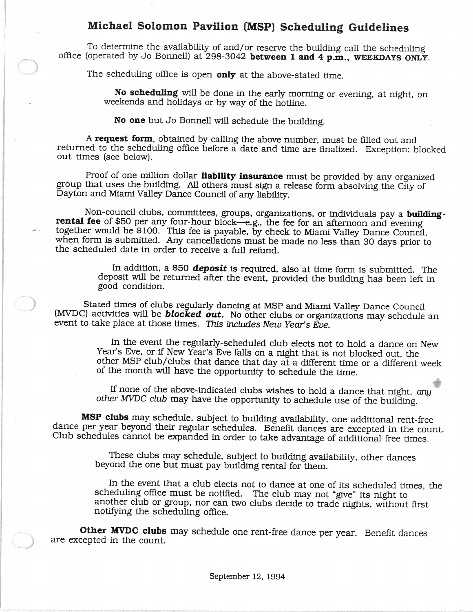## Michael Solomon Pavilion (MSP) Scheduling Guidelines

To determine the availability of and/or reserve the building call the scheduling office (operated by Jo Bonnell) at 298-3042 between 1 and 4 p.m., WEEKDAYS ONLY.

The scheduling office is open only at the above-stated time.

No scheduling will be done in the early morning or evening, at night. on weekends and holidays or by way of the hotline.

No one but Jo Bonnell will schedule the building.

A request form, obtained by calling the above number. must be filled out and returned to the scheduling office before a date and time are finalized. Exception: blocked out times (see below).

Proof of one million dollar liability insurance must be provided by any organized group that uses the building. All others must sign a release form absolving the City of Dayton and Miami Valley Dance Council of any liability.

Non-council clubs, committees, groups, organizations, or individuals pay a buildingrental fee of \$50 per any four-hour block-e.g., the fee for an afternoon and evening together would be \$100. This fee is payable, by check to Miami Valley Dance Council, when form is submitted. Any cancellations must be made no less than 30 days prior to the scheduled date in order to receive a full refund.

> In addition. a \$50 *deposit* is required, also at time form is submitted. The deposit will be returned after the event, provided the building has been left in good condition.

Stated times of clubs regularly dancing at MSP and Miami Valley Dance Council (MVDC) activities will be *blocked out.* No other clubs or organizations may schedule an event to take place at those times. This includes New Year's Eve.

> In the event the regularly-scheduled club elects not to hold a dance on New Year's Eve, or if New Year's Eve falls on a night that is not blocked out, the other MSP club/clubs that dance that day at a different time or a different week of the month will have the opportunity to schedule the time.

If none of the above-indicated clubs wishes to hold a dance that night. *any other MVDC club* may have the opportunity to schedule use of the building.

MSP clubs may schedule, subject to building availability. one additional rent-free dance per year beyond their regular schedules. Benefit dances are excepted in the count. Club schedules cannot be expanded in order to take advantage of additional free times.

> These clubs may schedule. subject to building availability. other dances beyond the one but must pay building rental for them.

In the event that a club elects not to dance at one of its scheduled times, the scheduling office must be notified. The club may not "give" its night to another club or group, nor can two clubs decide to trade nights, without first notifying the scheduling office.

Other MVDC clubs may schedule one rent-free dance per year. Benefit dances are excepted in the count.